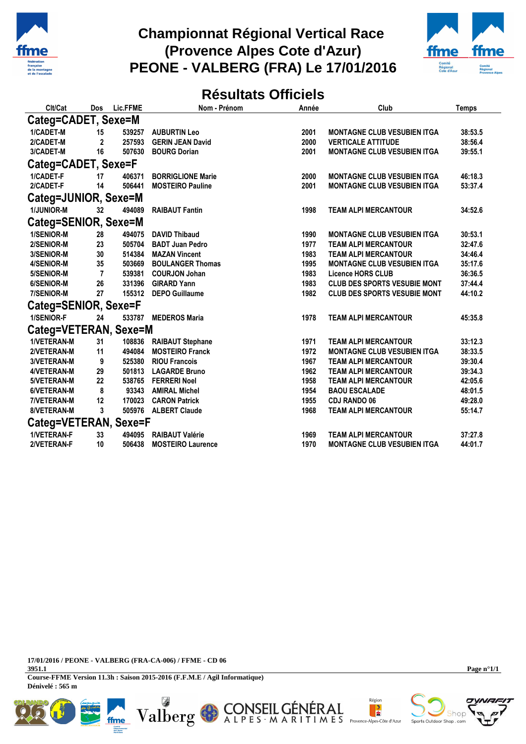

## **Championnat Régional Vertical Race (Provence Alpes Cote d'Azur) PEONE - VALBERG (FRA) Le 17/01/2016**



## **Résultats Officiels**

| Clt/Cat               | Dos            | Lic.FFME | Nom - Prénom             | Année | Club                                | Temps   |
|-----------------------|----------------|----------|--------------------------|-------|-------------------------------------|---------|
| Categ=CADET, Sexe=M   |                |          |                          |       |                                     |         |
| 1/CADET-M             | 15             | 539257   | <b>AUBURTIN Leo</b>      | 2001  | <b>MONTAGNE CLUB VESUBIEN ITGA</b>  | 38:53.5 |
| 2/CADET-M             | $\mathbf{2}$   | 257593   | <b>GERIN JEAN David</b>  | 2000  | <b>VERTICALE ATTITUDE</b>           | 38:56.4 |
| 3/CADET-M             | 16             | 507630   | <b>BOURG Dorian</b>      | 2001  | <b>MONTAGNE CLUB VESUBIEN ITGA</b>  | 39:55.1 |
| Categ=CADET, Sexe=F   |                |          |                          |       |                                     |         |
| 1/CADET-F             | 17             | 406371   | <b>BORRIGLIONE Marie</b> | 2000  | <b>MONTAGNE CLUB VESUBIEN ITGA</b>  | 46:18.3 |
| 2/CADET-F             | 14             | 506441   | <b>MOSTEIRO Pauline</b>  | 2001  | <b>MONTAGNE CLUB VESUBIEN ITGA</b>  | 53:37.4 |
| Categ=JUNIOR, Sexe=M  |                |          |                          |       |                                     |         |
| 1/JUNIOR-M            | 32             | 494089   | <b>RAIBAUT Fantin</b>    | 1998  | <b>TEAM ALPI MERCANTOUR</b>         | 34:52.6 |
| Categ=SENIOR, Sexe=M  |                |          |                          |       |                                     |         |
| 1/SENIOR-M            | 28             | 494075   | <b>DAVID Thibaud</b>     | 1990  | <b>MONTAGNE CLUB VESUBIEN ITGA</b>  | 30:53.1 |
| 2/SENIOR-M            | 23             | 505704   | <b>BADT Juan Pedro</b>   | 1977  | <b>TEAM ALPI MERCANTOUR</b>         | 32:47.6 |
| 3/SENIOR-M            | 30             | 514384   | <b>MAZAN Vincent</b>     | 1983  | <b>TEAM ALPI MERCANTOUR</b>         | 34:46.4 |
| 4/SENIOR-M            | 35             | 503669   | <b>BOULANGER Thomas</b>  | 1995  | <b>MONTAGNE CLUB VESUBIEN ITGA</b>  | 35:17.6 |
| 5/SENIOR-M            | $\overline{7}$ | 539381   | <b>COURJON Johan</b>     | 1983  | <b>Licence HORS CLUB</b>            | 36:36.5 |
| 6/SENIOR-M            | 26             | 331396   | <b>GIRARD Yann</b>       | 1983  | <b>CLUB DES SPORTS VESUBIE MONT</b> | 37:44.4 |
| 7/SENIOR-M            | 27             | 155312   | <b>DEPO Guillaume</b>    | 1982  | <b>CLUB DES SPORTS VESUBIE MONT</b> | 44:10.2 |
| Categ=SENIOR, Sexe=F  |                |          |                          |       |                                     |         |
| 1/SENIOR-F            | 24             | 533787   | <b>MEDEROS Maria</b>     | 1978  | <b>TEAM ALPI MERCANTOUR</b>         | 45:35.8 |
| Categ=VETERAN, Sexe=M |                |          |                          |       |                                     |         |
| 1/VETERAN-M           | 31             | 108836   | <b>RAIBAUT Stephane</b>  | 1971  | <b>TEAM ALPI MERCANTOUR</b>         | 33:12.3 |
| 2/VETERAN-M           | 11             | 494084   | <b>MOSTEIRO Franck</b>   | 1972  | <b>MONTAGNE CLUB VESUBIEN ITGA</b>  | 38:33.5 |
| 3/VETERAN-M           | 9              | 525380   | <b>RIOU Francois</b>     | 1967  | <b>TEAM ALPI MERCANTOUR</b>         | 39:30.4 |
| 4/VETERAN-M           | 29             | 501813   | <b>LAGARDE Bruno</b>     | 1962  | <b>TEAM ALPI MERCANTOUR</b>         | 39:34.3 |
| 5/VETERAN-M           | 22             | 538765   | <b>FERRERI Noel</b>      | 1958  | <b>TEAM ALPI MERCANTOUR</b>         | 42:05.6 |
| 6/VETERAN-M           | 8              | 93343    | <b>AMIRAL Michel</b>     | 1954  | <b>BAOU ESCALADE</b>                | 48:01.5 |
| 7/VETERAN-M           | 12             | 170023   | <b>CARON Patrick</b>     | 1955  | <b>CDJ RANDO 06</b>                 | 49:28.0 |
| 8/VETERAN-M           | 3              |          | 505976 ALBERT Claude     | 1968  | <b>TEAM ALPI MERCANTOUR</b>         | 55:14.7 |
| Categ=VETERAN, Sexe=F |                |          |                          |       |                                     |         |
| 1/VETERAN-F           | 33             | 494095   | <b>RAIBAUT Valérie</b>   | 1969  | <b>TEAM ALPI MERCANTOUR</b>         | 37:27.8 |
| 2/VETERAN-F           | 10             | 506438   | <b>MOSTEIRO Laurence</b> | 1970  | <b>MONTAGNE CLUB VESUBIEN ITGA</b>  | 44:01.7 |

**17/01/2016 / PEONE - VALBERG (FRA-CA-006) / FFME - CD 06**

ffme

**3951.1 Course-FFME Version 11.3h : Saison 2015-2016 (F.F.M.E / Agil Informatique) Dénivelé : 565 m**

Ø

Valberg



**Page n°1/1**



Région